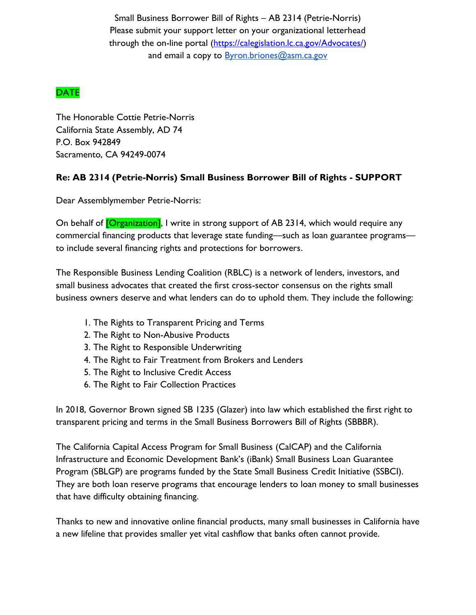Small Business Borrower Bill of Rights – AB 2314 (Petrie-Norris) Please submit your support letter on your organizational letterhead through the on-line portal [\(https://calegislation.lc.ca.gov/Advocates/\)](https://calegislation.lc.ca.gov/Advocates/) and email a copy to Byron.briones@asm.ca.gov

## DATE

The Honorable Cottie Petrie-Norris California State Assembly, AD 74 P.O. Box 942849 Sacramento, CA 94249-0074

## **Re: AB 2314 (Petrie-Norris) Small Business Borrower Bill of Rights - SUPPORT**

Dear Assemblymember Petrie-Norris:

On behalf of **[Organization]**, I write in strong support of AB 2314, which would require any commercial financing products that leverage state funding—such as loan guarantee programs to include several financing rights and protections for borrowers.

The Responsible Business Lending Coalition (RBLC) is a network of lenders, investors, and small business advocates that created the first cross-sector consensus on the rights small business owners deserve and what lenders can do to uphold them. They include the following:

- 1. The Rights to Transparent Pricing and Terms
- 2. The Right to Non-Abusive Products
- 3. The Right to Responsible Underwriting
- 4. The Right to Fair Treatment from Brokers and Lenders
- 5. The Right to Inclusive Credit Access
- 6. The Right to Fair Collection Practices

In 2018, Governor Brown signed SB 1235 (Glazer) into law which established the first right to transparent pricing and terms in the Small Business Borrowers Bill of Rights (SBBBR).

The California Capital Access Program for Small Business (CalCAP) and the California Infrastructure and Economic Development Bank's (iBank) Small Business Loan Guarantee Program (SBLGP) are programs funded by the State Small Business Credit Initiative (SSBCI). They are both loan reserve programs that encourage lenders to loan money to small businesses that have difficulty obtaining financing.

Thanks to new and innovative online financial products, many small businesses in California have a new lifeline that provides smaller yet vital cashflow that banks often cannot provide.